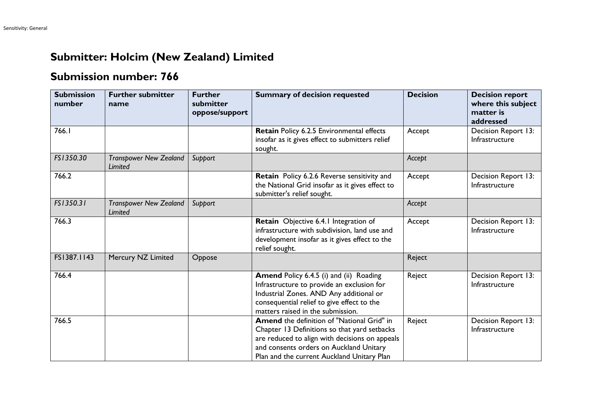## **Submitter: Holcim (New Zealand) Limited**

## **Submission number: 766**

| <b>Submission</b><br>number | <b>Further submitter</b><br>name         | <b>Further</b><br>submitter<br>oppose/support | <b>Summary of decision requested</b>                                                                                                                                                                                                  | <b>Decision</b> | <b>Decision report</b><br>where this subject<br>matter is<br>addressed |
|-----------------------------|------------------------------------------|-----------------------------------------------|---------------------------------------------------------------------------------------------------------------------------------------------------------------------------------------------------------------------------------------|-----------------|------------------------------------------------------------------------|
| 766.I                       |                                          |                                               | Retain Policy 6.2.5 Environmental effects<br>insofar as it gives effect to submitters relief<br>sought.                                                                                                                               | Accept          | Decision Report 13:<br>Infrastructure                                  |
| FS1350.30                   | <b>Transpower New Zealand</b><br>Limited | Support                                       |                                                                                                                                                                                                                                       | Accept          |                                                                        |
| 766.2                       |                                          |                                               | Retain Policy 6.2.6 Reverse sensitivity and<br>the National Grid insofar as it gives effect to<br>submitter's relief sought.                                                                                                          | Accept          | Decision Report 13:<br>Infrastructure                                  |
| FS1350.31                   | <b>Transpower New Zealand</b><br>Limited | Support                                       |                                                                                                                                                                                                                                       | Accept          |                                                                        |
| 766.3                       |                                          |                                               | Retain Objective 6.4.1 Integration of<br>infrastructure with subdivision, land use and<br>development insofar as it gives effect to the<br>relief sought.                                                                             | Accept          | Decision Report 13:<br>Infrastructure                                  |
| FS1387.1143                 | Mercury NZ Limited                       | Oppose                                        |                                                                                                                                                                                                                                       | Reject          |                                                                        |
| 766.4                       |                                          |                                               | Amend Policy 6.4.5 (i) and (ii) Roading<br>Infrastructure to provide an exclusion for<br>Industrial Zones. AND Any additional or<br>consequential relief to give effect to the<br>matters raised in the submission.                   | Reject          | Decision Report 13:<br>Infrastructure                                  |
| 766.5                       |                                          |                                               | Amend the definition of "National Grid" in<br>Chapter 13 Definitions so that yard setbacks<br>are reduced to align with decisions on appeals<br>and consents orders on Auckland Unitary<br>Plan and the current Auckland Unitary Plan | Reject          | Decision Report 13:<br>Infrastructure                                  |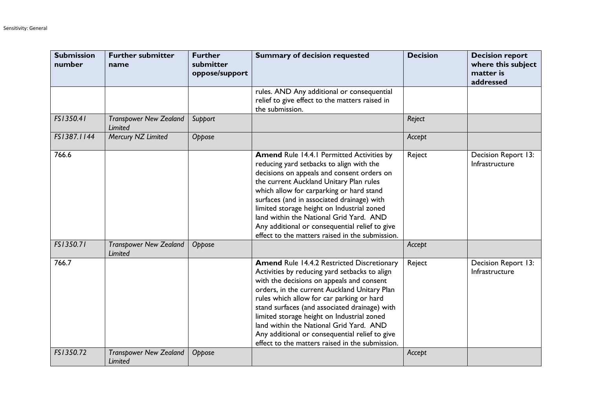| <b>Submission</b><br>number | <b>Further submitter</b><br>name                | <b>Further</b><br>submitter<br>oppose/support | <b>Summary of decision requested</b>                                                                                                                                                                                                                                                                                                                                                                                                                                                        | <b>Decision</b> | <b>Decision report</b><br>where this subject<br>matter is<br>addressed |
|-----------------------------|-------------------------------------------------|-----------------------------------------------|---------------------------------------------------------------------------------------------------------------------------------------------------------------------------------------------------------------------------------------------------------------------------------------------------------------------------------------------------------------------------------------------------------------------------------------------------------------------------------------------|-----------------|------------------------------------------------------------------------|
|                             |                                                 |                                               | rules. AND Any additional or consequential<br>relief to give effect to the matters raised in<br>the submission.                                                                                                                                                                                                                                                                                                                                                                             |                 |                                                                        |
| FS1350.41                   | <b>Transpower New Zealand</b><br><b>Limited</b> | Support                                       |                                                                                                                                                                                                                                                                                                                                                                                                                                                                                             | Reject          |                                                                        |
| FS1387.1144                 | Mercury NZ Limited                              | Oppose                                        |                                                                                                                                                                                                                                                                                                                                                                                                                                                                                             | Accept          |                                                                        |
| 766.6                       |                                                 |                                               | <b>Amend Rule 14.4.1 Permitted Activities by</b><br>reducing yard setbacks to align with the<br>decisions on appeals and consent orders on<br>the current Auckland Unitary Plan rules<br>which allow for carparking or hard stand<br>surfaces (and in associated drainage) with<br>limited storage height on Industrial zoned<br>land within the National Grid Yard. AND<br>Any additional or consequential relief to give<br>effect to the matters raised in the submission.               | Reject          | Decision Report 13:<br>Infrastructure                                  |
| FS1350.71                   | <b>Transpower New Zealand</b><br>Limited        | Oppose                                        |                                                                                                                                                                                                                                                                                                                                                                                                                                                                                             | Accept          |                                                                        |
| 766.7                       |                                                 |                                               | <b>Amend Rule 14.4.2 Restricted Discretionary</b><br>Activities by reducing yard setbacks to align<br>with the decisions on appeals and consent<br>orders, in the current Auckland Unitary Plan<br>rules which allow for car parking or hard<br>stand surfaces (and associated drainage) with<br>limited storage height on Industrial zoned<br>land within the National Grid Yard. AND<br>Any additional or consequential relief to give<br>effect to the matters raised in the submission. | Reject          | Decision Report 13:<br>Infrastructure                                  |
| FS1350.72                   | <b>Transpower New Zealand</b><br>Limited        | Oppose                                        |                                                                                                                                                                                                                                                                                                                                                                                                                                                                                             | Accept          |                                                                        |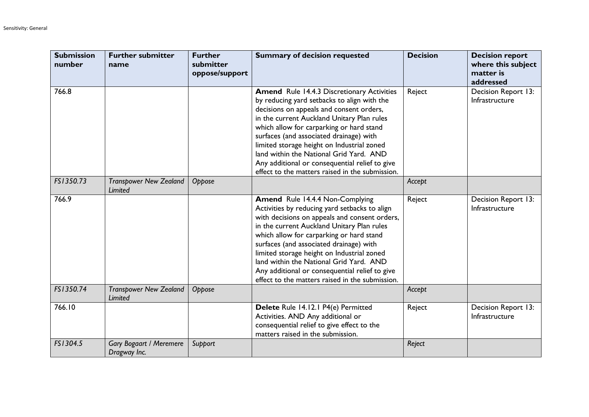| <b>Submission</b><br>number | <b>Further submitter</b><br>name               | <b>Further</b><br>submitter<br>oppose/support | <b>Summary of decision requested</b>                                                                                                                                                                                                                                                                                                                                                                                                                                            | <b>Decision</b> | <b>Decision report</b><br>where this subject<br>matter is<br>addressed |
|-----------------------------|------------------------------------------------|-----------------------------------------------|---------------------------------------------------------------------------------------------------------------------------------------------------------------------------------------------------------------------------------------------------------------------------------------------------------------------------------------------------------------------------------------------------------------------------------------------------------------------------------|-----------------|------------------------------------------------------------------------|
| 766.8                       |                                                |                                               | <b>Amend</b> Rule 14.4.3 Discretionary Activities<br>by reducing yard setbacks to align with the<br>decisions on appeals and consent orders,<br>in the current Auckland Unitary Plan rules<br>which allow for carparking or hard stand<br>surfaces (and associated drainage) with<br>limited storage height on Industrial zoned<br>land within the National Grid Yard. AND<br>Any additional or consequential relief to give<br>effect to the matters raised in the submission. | Reject          | Decision Report 13:<br>Infrastructure                                  |
| FS1350.73                   | <b>Transpower New Zealand</b><br>Limited       | Oppose                                        |                                                                                                                                                                                                                                                                                                                                                                                                                                                                                 | Accept          |                                                                        |
| 766.9                       |                                                |                                               | Amend Rule 14.4.4 Non-Complying<br>Activities by reducing yard setbacks to align<br>with decisions on appeals and consent orders,<br>in the current Auckland Unitary Plan rules<br>which allow for carparking or hard stand<br>surfaces (and associated drainage) with<br>limited storage height on Industrial zoned<br>land within the National Grid Yard. AND<br>Any additional or consequential relief to give<br>effect to the matters raised in the submission.            | Reject          | Decision Report 13:<br>Infrastructure                                  |
| FS1350.74                   | <b>Transpower New Zealand</b><br>Limited       | Oppose                                        |                                                                                                                                                                                                                                                                                                                                                                                                                                                                                 | Accept          |                                                                        |
| 766.10                      |                                                |                                               | Delete Rule 14.12.1 P4(e) Permitted<br>Activities. AND Any additional or<br>consequential relief to give effect to the<br>matters raised in the submission.                                                                                                                                                                                                                                                                                                                     | Reject          | Decision Report 13:<br>Infrastructure                                  |
| FS1304.5                    | <b>Gary Bogaart / Meremere</b><br>Dragway Inc. | Support                                       |                                                                                                                                                                                                                                                                                                                                                                                                                                                                                 | Reject          |                                                                        |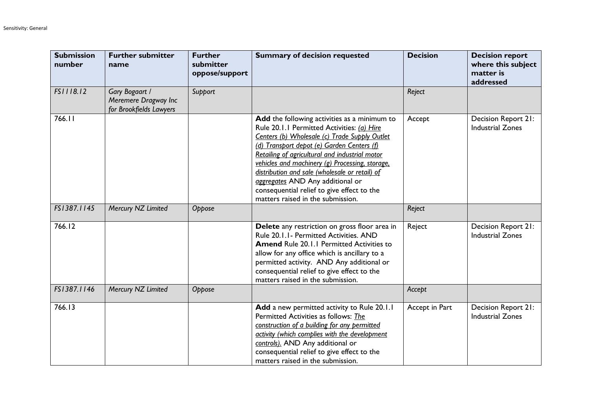| <b>Submission</b><br>number | <b>Further submitter</b><br>name                                  | <b>Further</b><br>submitter<br>oppose/support | <b>Summary of decision requested</b>                                                                                                                                                                                                                                                                                                                                                                                                                                    | <b>Decision</b> | <b>Decision report</b><br>where this subject<br>matter is<br>addressed |
|-----------------------------|-------------------------------------------------------------------|-----------------------------------------------|-------------------------------------------------------------------------------------------------------------------------------------------------------------------------------------------------------------------------------------------------------------------------------------------------------------------------------------------------------------------------------------------------------------------------------------------------------------------------|-----------------|------------------------------------------------------------------------|
| FS1118.12                   | Gary Bogaart /<br>Meremere Dragway Inc<br>for Brookfields Lawyers | Support                                       |                                                                                                                                                                                                                                                                                                                                                                                                                                                                         | Reject          |                                                                        |
| 766.11                      |                                                                   |                                               | Add the following activities as a minimum to<br>Rule 20.1.1 Permitted Activities: (a) Hire<br>Centers (b) Wholesale (c) Trade Supply Outlet<br>(d) Transport depot (e) Garden Centers (f)<br>Retailing of agricultural and industrial motor<br>vehicles and machinery (g) Processing, storage,<br>distribution and sale (wholesale or retail) of<br>aggregates AND Any additional or<br>consequential relief to give effect to the<br>matters raised in the submission. | Accept          | Decision Report 21:<br><b>Industrial Zones</b>                         |
| FS1387.1145                 | Mercury NZ Limited                                                | Oppose                                        |                                                                                                                                                                                                                                                                                                                                                                                                                                                                         | Reject          |                                                                        |
| 766.12                      |                                                                   |                                               | Delete any restriction on gross floor area in<br>Rule 20.1.1- Permitted Activities. AND<br><b>Amend Rule 20.1.1 Permitted Activities to</b><br>allow for any office which is ancillary to a<br>permitted activity. AND Any additional or<br>consequential relief to give effect to the<br>matters raised in the submission.                                                                                                                                             | Reject          | Decision Report 21:<br><b>Industrial Zones</b>                         |
| FS1387.1146                 | Mercury NZ Limited                                                | Oppose                                        |                                                                                                                                                                                                                                                                                                                                                                                                                                                                         | Accept          |                                                                        |
| 766.13                      |                                                                   |                                               | Add a new permitted activity to Rule 20.1.1<br>Permitted Activities as follows: The<br>construction of a building for any permitted<br>activity (which complies with the development<br>controls). AND Any additional or<br>consequential relief to give effect to the<br>matters raised in the submission.                                                                                                                                                             | Accept in Part  | Decision Report 21:<br><b>Industrial Zones</b>                         |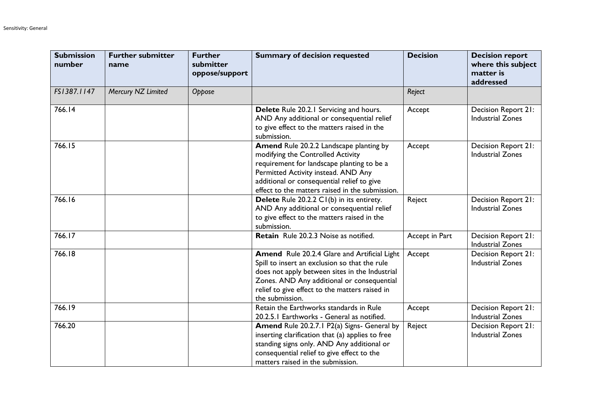| <b>Submission</b><br>number | <b>Further submitter</b><br>name | <b>Further</b><br>submitter<br>oppose/support | <b>Summary of decision requested</b>                                                                                                                                                                                                                               | <b>Decision</b> | <b>Decision report</b><br>where this subject<br>matter is<br>addressed |
|-----------------------------|----------------------------------|-----------------------------------------------|--------------------------------------------------------------------------------------------------------------------------------------------------------------------------------------------------------------------------------------------------------------------|-----------------|------------------------------------------------------------------------|
| FS1387.1147                 | Mercury NZ Limited               | Oppose                                        |                                                                                                                                                                                                                                                                    | Reject          |                                                                        |
| 766.14                      |                                  |                                               | Delete Rule 20.2.1 Servicing and hours.<br>AND Any additional or consequential relief<br>to give effect to the matters raised in the<br>submission.                                                                                                                | Accept          | Decision Report 21:<br><b>Industrial Zones</b>                         |
| 766.15                      |                                  |                                               | Amend Rule 20.2.2 Landscape planting by<br>modifying the Controlled Activity<br>requirement for landscape planting to be a<br>Permitted Activity instead. AND Any<br>additional or consequential relief to give<br>effect to the matters raised in the submission. | Accept          | Decision Report 21:<br><b>Industrial Zones</b>                         |
| 766.16                      |                                  |                                               | Delete Rule 20.2.2 CI(b) in its entirety.<br>AND Any additional or consequential relief<br>to give effect to the matters raised in the<br>submission.                                                                                                              | Reject          | Decision Report 21:<br><b>Industrial Zones</b>                         |
| 766.17                      |                                  |                                               | Retain Rule 20.2.3 Noise as notified.                                                                                                                                                                                                                              | Accept in Part  | Decision Report 21:<br><b>Industrial Zones</b>                         |
| 766.18                      |                                  |                                               | Amend Rule 20.2.4 Glare and Artificial Light<br>Spill to insert an exclusion so that the rule<br>does not apply between sites in the Industrial<br>Zones. AND Any additional or consequential<br>relief to give effect to the matters raised in<br>the submission. | Accept          | Decision Report 21:<br><b>Industrial Zones</b>                         |
| 766.19                      |                                  |                                               | Retain the Earthworks standards in Rule<br>20.2.5.1 Earthworks - General as notified.                                                                                                                                                                              | Accept          | Decision Report 21:<br><b>Industrial Zones</b>                         |
| 766.20                      |                                  |                                               | Amend Rule 20.2.7.1 P2(a) Signs- General by<br>inserting clarification that (a) applies to free<br>standing signs only. AND Any additional or<br>consequential relief to give effect to the<br>matters raised in the submission.                                   | Reject          | Decision Report 21:<br><b>Industrial Zones</b>                         |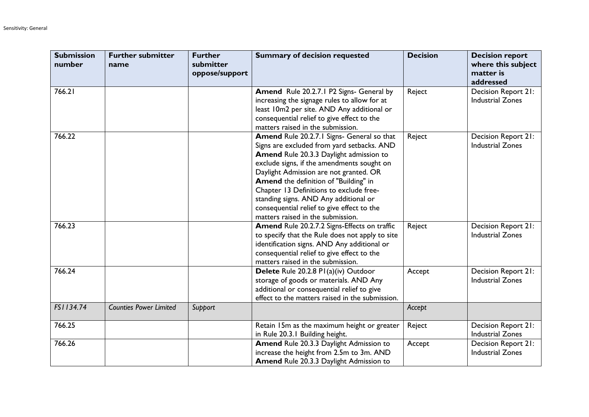| <b>Submission</b><br>number | <b>Further submitter</b><br>name | <b>Further</b><br>submitter<br>oppose/support | <b>Summary of decision requested</b>                                                                                                                                                                                                                                                                                                                                                                                                        | <b>Decision</b> | <b>Decision report</b><br>where this subject<br>matter is<br>addressed |
|-----------------------------|----------------------------------|-----------------------------------------------|---------------------------------------------------------------------------------------------------------------------------------------------------------------------------------------------------------------------------------------------------------------------------------------------------------------------------------------------------------------------------------------------------------------------------------------------|-----------------|------------------------------------------------------------------------|
| 766.21                      |                                  |                                               | Amend Rule 20.2.7.1 P2 Signs- General by<br>increasing the signage rules to allow for at<br>least 10m2 per site. AND Any additional or<br>consequential relief to give effect to the<br>matters raised in the submission.                                                                                                                                                                                                                   | Reject          | Decision Report 21:<br><b>Industrial Zones</b>                         |
| 766.22                      |                                  |                                               | Amend Rule 20.2.7.1 Signs- General so that<br>Signs are excluded from yard setbacks. AND<br>Amend Rule 20.3.3 Daylight admission to<br>exclude signs, if the amendments sought on<br>Daylight Admission are not granted. OR<br>Amend the definition of "Building" in<br>Chapter 13 Definitions to exclude free-<br>standing signs. AND Any additional or<br>consequential relief to give effect to the<br>matters raised in the submission. | Reject          | Decision Report 21:<br><b>Industrial Zones</b>                         |
| 766.23                      |                                  |                                               | Amend Rule 20.2.7.2 Signs-Effects on traffic<br>to specify that the Rule does not apply to site<br>identification signs. AND Any additional or<br>consequential relief to give effect to the<br>matters raised in the submission.                                                                                                                                                                                                           | Reject          | Decision Report 21:<br><b>Industrial Zones</b>                         |
| 766.24                      |                                  |                                               | Delete Rule 20.2.8 PI(a)(iv) Outdoor<br>storage of goods or materials. AND Any<br>additional or consequential relief to give<br>effect to the matters raised in the submission.                                                                                                                                                                                                                                                             | Accept          | Decision Report 21:<br><b>Industrial Zones</b>                         |
| FS1134.74                   | <b>Counties Power Limited</b>    | Support                                       |                                                                                                                                                                                                                                                                                                                                                                                                                                             | Accept          |                                                                        |
| 766.25                      |                                  |                                               | Retain 15m as the maximum height or greater<br>in Rule 20.3.1 Building height.                                                                                                                                                                                                                                                                                                                                                              | Reject          | Decision Report 21:<br><b>Industrial Zones</b>                         |
| 766.26                      |                                  |                                               | Amend Rule 20.3.3 Daylight Admission to<br>increase the height from 2.5m to 3m. AND<br><b>Amend Rule 20.3.3 Daylight Admission to</b>                                                                                                                                                                                                                                                                                                       | Accept          | Decision Report 21:<br><b>Industrial Zones</b>                         |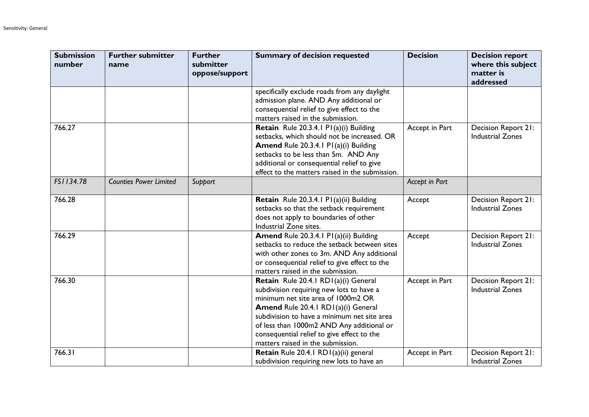| <b>Submission</b><br>number | <b>Further submitter</b><br>name | <b>Further</b><br>submitter<br>oppose/support | <b>Summary of decision requested</b>                                                                                                                                                                                                                                                                                                         | <b>Decision</b> | <b>Decision report</b><br>where this subject<br>matter is<br>addressed |
|-----------------------------|----------------------------------|-----------------------------------------------|----------------------------------------------------------------------------------------------------------------------------------------------------------------------------------------------------------------------------------------------------------------------------------------------------------------------------------------------|-----------------|------------------------------------------------------------------------|
|                             |                                  |                                               | specifically exclude roads from any daylight<br>admission plane. AND Any additional or<br>consequential relief to give effect to the<br>matters raised in the submission.                                                                                                                                                                    |                 |                                                                        |
| 766.27                      |                                  |                                               | Retain Rule 20.3.4.1 P1(a)(i) Building<br>setbacks, which should not be increased. OR<br>Amend Rule 20.3.4.1 P1(a)(i) Building<br>setbacks to be less than 5m. AND Any<br>additional or consequential relief to give<br>effect to the matters raised in the submission.                                                                      | Accept in Part  | Decision Report 21:<br><b>Industrial Zones</b>                         |
| FS1134.78                   | <b>Counties Power Limited</b>    | Support                                       |                                                                                                                                                                                                                                                                                                                                              | Accept in Part  |                                                                        |
| 766.28                      |                                  |                                               | Retain Rule 20.3.4.1 P1(a)(ii) Building<br>setbacks so that the setback requirement<br>does not apply to boundaries of other<br>Industrial Zone sites.                                                                                                                                                                                       | Accept          | Decision Report 21:<br><b>Industrial Zones</b>                         |
| 766.29                      |                                  |                                               | Amend Rule 20.3.4.1 P1(a)(ii) Building<br>setbacks to reduce the setback between sites<br>with other zones to 3m. AND Any additional<br>or consequential relief to give effect to the<br>matters raised in the submission.                                                                                                                   | Accept          | Decision Report 21:<br><b>Industrial Zones</b>                         |
| 766.30                      |                                  |                                               | Retain Rule 20.4.1 RD1(a)(i) General<br>subdivision requiring new lots to have a<br>minimum net site area of 1000m2 OR<br>Amend Rule 20.4.1 RD1(a)(i) General<br>subdivision to have a minimum net site area<br>of less than 1000m2 AND Any additional or<br>consequential relief to give effect to the<br>matters raised in the submission. | Accept in Part  | Decision Report 21:<br><b>Industrial Zones</b>                         |
| 766.31                      |                                  |                                               | Retain Rule 20.4.1 RD1(a)(ii) general<br>subdivision requiring new lots to have an                                                                                                                                                                                                                                                           | Accept in Part  | Decision Report 21:<br><b>Industrial Zones</b>                         |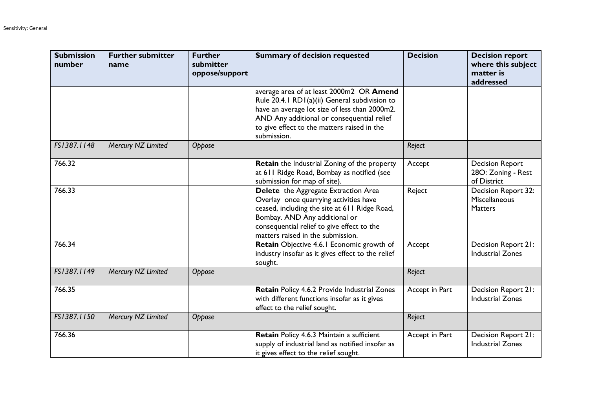| <b>Submission</b><br>number | <b>Further submitter</b><br>name | <b>Further</b><br>submitter<br>oppose/support | <b>Summary of decision requested</b>                                                                                                                                                                                                                   | <b>Decision</b> | <b>Decision report</b><br>where this subject<br>matter is<br>addressed |
|-----------------------------|----------------------------------|-----------------------------------------------|--------------------------------------------------------------------------------------------------------------------------------------------------------------------------------------------------------------------------------------------------------|-----------------|------------------------------------------------------------------------|
|                             |                                  |                                               | average area of at least 2000m2 OR Amend<br>Rule 20.4.1 RD1(a)(ii) General subdivision to<br>have an average lot size of less than 2000m2.<br>AND Any additional or consequential relief<br>to give effect to the matters raised in the<br>submission. |                 |                                                                        |
| FS1387.1148                 | Mercury NZ Limited               | Oppose                                        |                                                                                                                                                                                                                                                        | Reject          |                                                                        |
| 766.32                      |                                  |                                               | Retain the Industrial Zoning of the property<br>at 611 Ridge Road, Bombay as notified (see<br>submission for map of site).                                                                                                                             | Accept          | <b>Decision Report</b><br>28O: Zoning - Rest<br>of District            |
| 766.33                      |                                  |                                               | Delete the Aggregate Extraction Area<br>Overlay once quarrying activities have<br>ceased, including the site at 611 Ridge Road,<br>Bombay. AND Any additional or<br>consequential relief to give effect to the<br>matters raised in the submission.    | Reject          | Decision Report 32:<br>Miscellaneous<br><b>Matters</b>                 |
| 766.34                      |                                  |                                               | Retain Objective 4.6.1 Economic growth of<br>industry insofar as it gives effect to the relief<br>sought.                                                                                                                                              | Accept          | Decision Report 21:<br><b>Industrial Zones</b>                         |
| FS1387.1149                 | Mercury NZ Limited               | Oppose                                        |                                                                                                                                                                                                                                                        | Reject          |                                                                        |
| 766.35                      |                                  |                                               | Retain Policy 4.6.2 Provide Industrial Zones<br>with different functions insofar as it gives<br>effect to the relief sought.                                                                                                                           | Accept in Part  | Decision Report 21:<br><b>Industrial Zones</b>                         |
| FS1387.1150                 | Mercury NZ Limited               | Oppose                                        |                                                                                                                                                                                                                                                        | Reject          |                                                                        |
| 766.36                      |                                  |                                               | Retain Policy 4.6.3 Maintain a sufficient<br>supply of industrial land as notified insofar as<br>it gives effect to the relief sought.                                                                                                                 | Accept in Part  | Decision Report 21:<br><b>Industrial Zones</b>                         |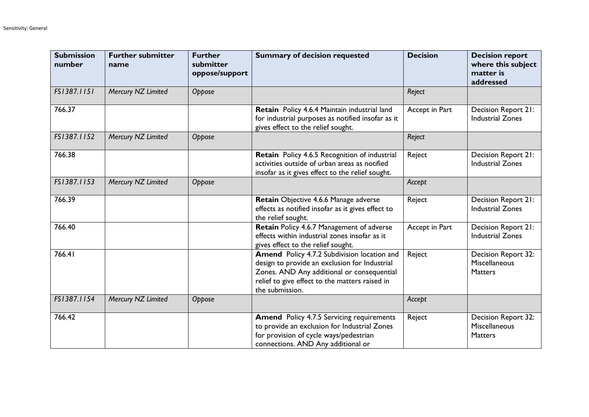| <b>Submission</b><br>number | <b>Further submitter</b><br>name | <b>Further</b><br>submitter<br>oppose/support | <b>Summary of decision requested</b>                                                                                                                                                                            | <b>Decision</b> | <b>Decision report</b><br>where this subject<br>matter is<br>addressed |
|-----------------------------|----------------------------------|-----------------------------------------------|-----------------------------------------------------------------------------------------------------------------------------------------------------------------------------------------------------------------|-----------------|------------------------------------------------------------------------|
| FS1387.1151                 | Mercury NZ Limited               | Oppose                                        |                                                                                                                                                                                                                 | Reject          |                                                                        |
| 766.37                      |                                  |                                               | Retain Policy 4.6.4 Maintain industrial land<br>for industrial purposes as notified insofar as it<br>gives effect to the relief sought.                                                                         | Accept in Part  | Decision Report 21:<br><b>Industrial Zones</b>                         |
| FS1387.1152                 | Mercury NZ Limited               | Oppose                                        |                                                                                                                                                                                                                 | Reject          |                                                                        |
| 766.38                      |                                  |                                               | Retain Policy 4.6.5 Recognition of industrial<br>activities outside of urban areas as notified<br>insofar as it gives effect to the relief sought.                                                              | Reject          | Decision Report 21:<br><b>Industrial Zones</b>                         |
| FS1387.1153                 | Mercury NZ Limited               | Oppose                                        |                                                                                                                                                                                                                 | Accept          |                                                                        |
| 766.39                      |                                  |                                               | Retain Objective 4.6.6 Manage adverse<br>effects as notified insofar as it gives effect to<br>the relief sought.                                                                                                | Reject          | Decision Report 21:<br><b>Industrial Zones</b>                         |
| 766.40                      |                                  |                                               | Retain Policy 4.6.7 Management of adverse<br>effects within industrial zones insofar as it<br>gives effect to the relief sought.                                                                                | Accept in Part  | Decision Report 21:<br><b>Industrial Zones</b>                         |
| 766.41                      |                                  |                                               | Amend Policy 4.7.2 Subdivision location and<br>design to provide an exclusion for Industrial<br>Zones. AND Any additional or consequential<br>relief to give effect to the matters raised in<br>the submission. | Reject          | Decision Report 32:<br>Miscellaneous<br><b>Matters</b>                 |
| FS1387.1154                 | Mercury NZ Limited               | Oppose                                        |                                                                                                                                                                                                                 | Accept          |                                                                        |
| 766.42                      |                                  |                                               | <b>Amend</b> Policy 4.7.5 Servicing requirements<br>to provide an exclusion for Industrial Zones<br>for provision of cycle ways/pedestrian<br>connections. AND Any additional or                                | Reject          | Decision Report 32:<br>Miscellaneous<br><b>Matters</b>                 |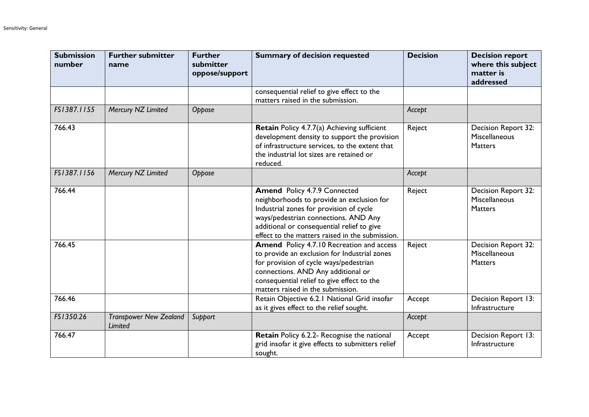| <b>Submission</b><br>number | <b>Further submitter</b><br>name         | <b>Further</b><br>submitter<br>oppose/support | <b>Summary of decision requested</b>                                                                                                                                                                                                                                 | <b>Decision</b> | <b>Decision report</b><br>where this subject<br>matter is<br>addressed |
|-----------------------------|------------------------------------------|-----------------------------------------------|----------------------------------------------------------------------------------------------------------------------------------------------------------------------------------------------------------------------------------------------------------------------|-----------------|------------------------------------------------------------------------|
|                             |                                          |                                               | consequential relief to give effect to the<br>matters raised in the submission.                                                                                                                                                                                      |                 |                                                                        |
| FS1387.1155                 | Mercury NZ Limited                       | Oppose                                        |                                                                                                                                                                                                                                                                      | Accept          |                                                                        |
| 766.43                      |                                          |                                               | Retain Policy 4.7.7(a) Achieving sufficient<br>development density to support the provision<br>of infrastructure services, to the extent that<br>the industrial lot sizes are retained or<br>reduced.                                                                | Reject          | Decision Report 32:<br>Miscellaneous<br><b>Matters</b>                 |
| FS1387.1156                 | Mercury NZ Limited                       | Oppose                                        |                                                                                                                                                                                                                                                                      | Accept          |                                                                        |
| 766.44                      |                                          |                                               | <b>Amend Policy 4.7.9 Connected</b><br>neighborhoods to provide an exclusion for<br>Industrial zones for provision of cycle<br>ways/pedestrian connections. AND Any<br>additional or consequential relief to give<br>effect to the matters raised in the submission. | Reject          | Decision Report 32:<br>Miscellaneous<br><b>Matters</b>                 |
| 766.45                      |                                          |                                               | <b>Amend</b> Policy 4.7.10 Recreation and access<br>to provide an exclusion for Industrial zones<br>for provision of cycle ways/pedestrian<br>connections. AND Any additional or<br>consequential relief to give effect to the<br>matters raised in the submission.  | Reject          | Decision Report 32:<br>Miscellaneous<br><b>Matters</b>                 |
| 766.46                      |                                          |                                               | Retain Objective 6.2.1 National Grid insofar<br>as it gives effect to the relief sought.                                                                                                                                                                             | Accept          | Decision Report 13:<br>Infrastructure                                  |
| FS1350.26                   | <b>Transpower New Zealand</b><br>Limited | Support                                       |                                                                                                                                                                                                                                                                      | Accept          |                                                                        |
| 766.47                      |                                          |                                               | Retain Policy 6.2.2- Recognise the national<br>grid insofar it give effects to submitters relief<br>sought.                                                                                                                                                          | Accept          | Decision Report 13:<br>Infrastructure                                  |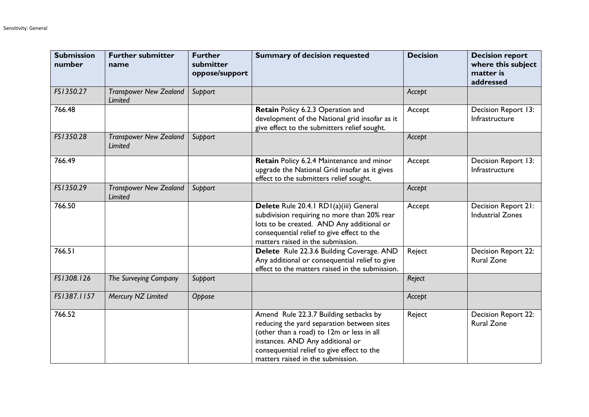| <b>Submission</b><br>number | <b>Further submitter</b><br>name                | <b>Further</b><br>submitter<br>oppose/support | <b>Summary of decision requested</b>                                                                                                                                                                                                                     | <b>Decision</b> | <b>Decision report</b><br>where this subject<br>matter is<br>addressed |
|-----------------------------|-------------------------------------------------|-----------------------------------------------|----------------------------------------------------------------------------------------------------------------------------------------------------------------------------------------------------------------------------------------------------------|-----------------|------------------------------------------------------------------------|
| FS1350.27                   | <b>Transpower New Zealand</b><br>Limited        | Support                                       |                                                                                                                                                                                                                                                          | Accept          |                                                                        |
| 766.48                      |                                                 |                                               | Retain Policy 6.2.3 Operation and<br>development of the National grid insofar as it<br>give effect to the submitters relief sought.                                                                                                                      | Accept          | Decision Report 13:<br>Infrastructure                                  |
| FS1350.28                   | <b>Transpower New Zealand</b><br>Limited        | Support                                       |                                                                                                                                                                                                                                                          | Accept          |                                                                        |
| 766.49                      |                                                 |                                               | Retain Policy 6.2.4 Maintenance and minor<br>upgrade the National Grid insofar as it gives<br>effect to the submitters relief sought.                                                                                                                    | Accept          | Decision Report 13:<br>Infrastructure                                  |
| FS1350.29                   | <b>Transpower New Zealand</b><br><b>Limited</b> | Support                                       |                                                                                                                                                                                                                                                          | Accept          |                                                                        |
| 766.50                      |                                                 |                                               | Delete Rule 20.4.1 RD1(a)(iii) General<br>subdivision requiring no more than 20% rear<br>lots to be created. AND Any additional or<br>consequential relief to give effect to the<br>matters raised in the submission.                                    | Accept          | Decision Report 21:<br><b>Industrial Zones</b>                         |
| 766.51                      |                                                 |                                               | Delete Rule 22.3.6 Building Coverage. AND<br>Any additional or consequential relief to give<br>effect to the matters raised in the submission.                                                                                                           | Reject          | Decision Report 22:<br><b>Rural Zone</b>                               |
| FS1308.126                  | The Surveying Company                           | Support                                       |                                                                                                                                                                                                                                                          | Reject          |                                                                        |
| FS1387.1157                 | Mercury NZ Limited                              | Oppose                                        |                                                                                                                                                                                                                                                          | Accept          |                                                                        |
| 766.52                      |                                                 |                                               | Amend Rule 22.3.7 Building setbacks by<br>reducing the yard separation between sites<br>(other than a road) to 12m or less in all<br>instances. AND Any additional or<br>consequential relief to give effect to the<br>matters raised in the submission. | Reject          | Decision Report 22:<br><b>Rural Zone</b>                               |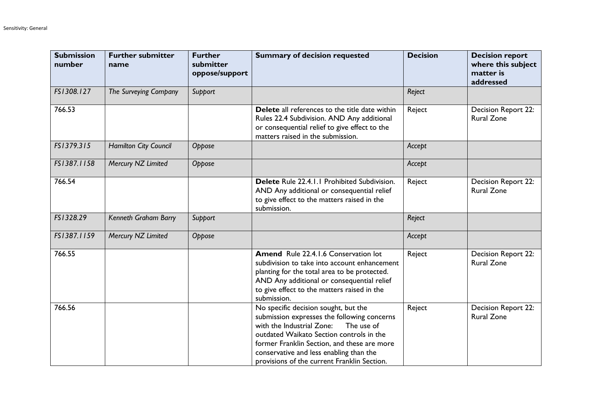| <b>Submission</b><br>number | <b>Further submitter</b><br>name | <b>Further</b><br>submitter<br>oppose/support | <b>Summary of decision requested</b>                                                                                                                                                                                                                                                                                | <b>Decision</b> | <b>Decision report</b><br>where this subject<br>matter is<br>addressed |
|-----------------------------|----------------------------------|-----------------------------------------------|---------------------------------------------------------------------------------------------------------------------------------------------------------------------------------------------------------------------------------------------------------------------------------------------------------------------|-----------------|------------------------------------------------------------------------|
| FS1308.127                  | The Surveying Company            | Support                                       |                                                                                                                                                                                                                                                                                                                     | Reject          |                                                                        |
| 766.53                      |                                  |                                               | Delete all references to the title date within<br>Rules 22.4 Subdivision. AND Any additional<br>or consequential relief to give effect to the<br>matters raised in the submission.                                                                                                                                  | Reject          | Decision Report 22:<br><b>Rural Zone</b>                               |
| FS1379.315                  | <b>Hamilton City Council</b>     | Oppose                                        |                                                                                                                                                                                                                                                                                                                     | Accept          |                                                                        |
| FS1387.1158                 | Mercury NZ Limited               | Oppose                                        |                                                                                                                                                                                                                                                                                                                     | Accept          |                                                                        |
| 766.54                      |                                  |                                               | Delete Rule 22.4.1.1 Prohibited Subdivision.<br>AND Any additional or consequential relief<br>to give effect to the matters raised in the<br>submission.                                                                                                                                                            | Reject          | Decision Report 22:<br><b>Rural Zone</b>                               |
| FS1328.29                   | Kenneth Graham Barry             | Support                                       |                                                                                                                                                                                                                                                                                                                     | Reject          |                                                                        |
| FS1387.1159                 | Mercury NZ Limited               | Oppose                                        |                                                                                                                                                                                                                                                                                                                     | Accept          |                                                                        |
| 766.55                      |                                  |                                               | Amend Rule 22.4.1.6 Conservation lot<br>subdivision to take into account enhancement<br>planting for the total area to be protected.<br>AND Any additional or consequential relief<br>to give effect to the matters raised in the<br>submission.                                                                    | Reject          | Decision Report 22:<br><b>Rural Zone</b>                               |
| 766.56                      |                                  |                                               | No specific decision sought, but the<br>submission expresses the following concerns<br>with the Industrial Zone:<br>The use of<br>outdated Waikato Section controls in the<br>former Franklin Section, and these are more<br>conservative and less enabling than the<br>provisions of the current Franklin Section. | Reject          | Decision Report 22:<br><b>Rural Zone</b>                               |